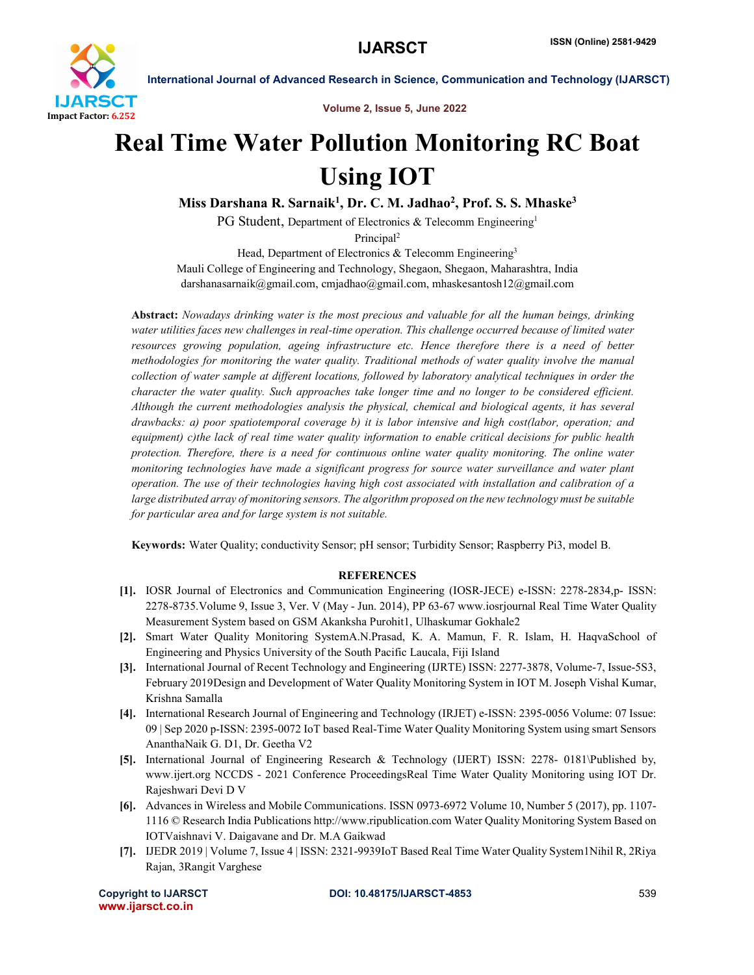

International Journal of Advanced Research in Science, Communication and Technology (IJARSCT)

Volume 2, Issue 5, June 2022

## Real Time Water Pollution Monitoring RC Boat Using IOT

Miss Darshana R. Sarnaik<sup>1</sup>, Dr. C. M. Jadhao<sup>2</sup>, Prof. S. S. Mhaske<sup>3</sup>

PG Student, Department of Electronics & Telecomm Engineering<sup>1</sup>

Principal2

Head, Department of Electronics & Telecomm Engineering<sup>3</sup> Mauli College of Engineering and Technology, Shegaon, Shegaon, Maharashtra, India darshanasarnaik@gmail.com, cmjadhao@gmail.com, mhaskesantosh12@gmail.com

Abstract: *Nowadays drinking water is the most precious and valuable for all the human beings, drinking water utilities faces new challenges in real-time operation. This challenge occurred because of limited water resources growing population, ageing infrastructure etc. Hence therefore there is a need of better methodologies for monitoring the water quality. Traditional methods of water quality involve the manual collection of water sample at different locations, followed by laboratory analytical techniques in order the character the water quality. Such approaches take longer time and no longer to be considered efficient. Although the current methodologies analysis the physical, chemical and biological agents, it has several drawbacks: a) poor spatiotemporal coverage b) it is labor intensive and high cost(labor, operation; and equipment) c)the lack of real time water quality information to enable critical decisions for public health protection. Therefore, there is a need for continuous online water quality monitoring. The online water monitoring technologies have made a significant progress for source water surveillance and water plant operation. The use of their technologies having high cost associated with installation and calibration of a large distributed array of monitoring sensors. The algorithm proposed on the new technology must be suitable for particular area and for large system is not suitable.*

Keywords: Water Quality; conductivity Sensor; pH sensor; Turbidity Sensor; Raspberry Pi3, model B.

## **REFERENCES**

- [1]. IOSR Journal of Electronics and Communication Engineering (IOSR-JECE) e-ISSN: 2278-2834,p- ISSN: 2278-8735.Volume 9, Issue 3, Ver. V (May - Jun. 2014), PP 63-67 www.iosrjournal Real Time Water Quality Measurement System based on GSM Akanksha Purohit1, Ulhaskumar Gokhale2
- [2]. Smart Water Quality Monitoring SystemA.N.Prasad, K. A. Mamun, F. R. Islam, H. HaqvaSchool of Engineering and Physics University of the South Pacific Laucala, Fiji Island
- [3]. International Journal of Recent Technology and Engineering (IJRTE) ISSN: 2277-3878, Volume-7, Issue-5S3, February 2019Design and Development of Water Quality Monitoring System in IOT M. Joseph Vishal Kumar, Krishna Samalla
- [4]. International Research Journal of Engineering and Technology (IRJET) e-ISSN: 2395-0056 Volume: 07 Issue: 09 | Sep 2020 p-ISSN: 2395-0072 IoT based Real-Time Water Quality Monitoring System using smart Sensors AnanthaNaik G. D1, Dr. Geetha V2
- [5]. International Journal of Engineering Research & Technology (IJERT) ISSN: 2278- 0181\Published by, www.ijert.org NCCDS - 2021 Conference ProceedingsReal Time Water Quality Monitoring using IOT Dr. Rajeshwari Devi D V
- [6]. Advances in Wireless and Mobile Communications. ISSN 0973-6972 Volume 10, Number 5 (2017), pp. 1107- 1116 © Research India Publications http://www.ripublication.com Water Quality Monitoring System Based on IOTVaishnavi V. Daigavane and Dr. M.A Gaikwad
- [7]. IJEDR 2019 | Volume 7, Issue 4 | ISSN: 2321-9939IoT Based Real Time Water Quality System1Nihil R, 2Riya Rajan, 3Rangit Varghese